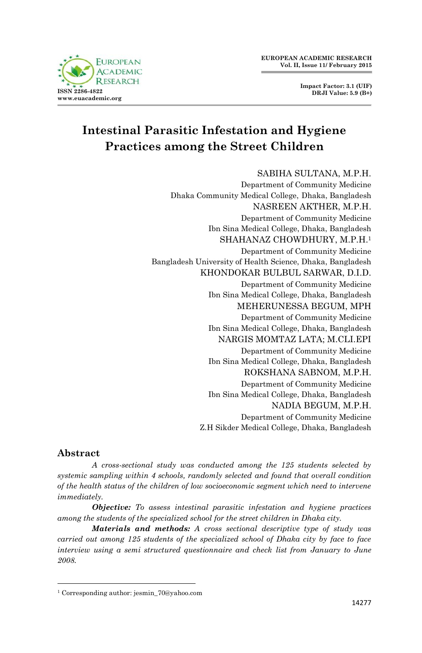

**Impact Factor: 3.1 (UIF) DRJI Value: 5.9 (B+)**

# **Intestinal Parasitic Infestation and Hygiene Practices among the Street Children**

#### SABIHA SULTANA, M.P.H.

Department of Community Medicine Dhaka Community Medical College, Dhaka, Bangladesh NASREEN AKTHER, M.P.H. Department of Community Medicine Ibn Sina Medical College, Dhaka, Bangladesh SHAHANAZ CHOWDHURY, M.P.H.<sup>1</sup> Department of Community Medicine Bangladesh University of Health Science, Dhaka, Bangladesh KHONDOKAR BULBUL SARWAR, D.I.D. Department of Community Medicine Ibn Sina Medical College, Dhaka, Bangladesh MEHERUNESSA BEGUM, MPH Department of Community Medicine Ibn Sina Medical College, Dhaka, Bangladesh NARGIS MOMTAZ LATA; M.CLI.EPI Department of Community Medicine Ibn Sina Medical College, Dhaka, Bangladesh ROKSHANA SABNOM, M.P.H. Department of Community Medicine Ibn Sina Medical College, Dhaka, Bangladesh NADIA BEGUM, M.P.H. Department of Community Medicine Z.H Sikder Medical College, Dhaka, Bangladesh

## **Abstract**

 $\overline{a}$ 

*A cross-sectional study was conducted among the 125 students selected by systemic sampling within 4 schools, randomly selected and found that overall condition of the health status of the children of low socioeconomic segment which need to intervene immediately.*

*Objective: To assess intestinal parasitic infestation and hygiene practices among the students of the specialized school for the street children in Dhaka city.*

*Materials and methods: A cross sectional descriptive type of study was carried out among 125 students of the specialized school of Dhaka city by face to face interview using a semi structured questionnaire and check list from January to June 2008.*

<sup>1</sup> Corresponding author: jesmin\_70@yahoo.com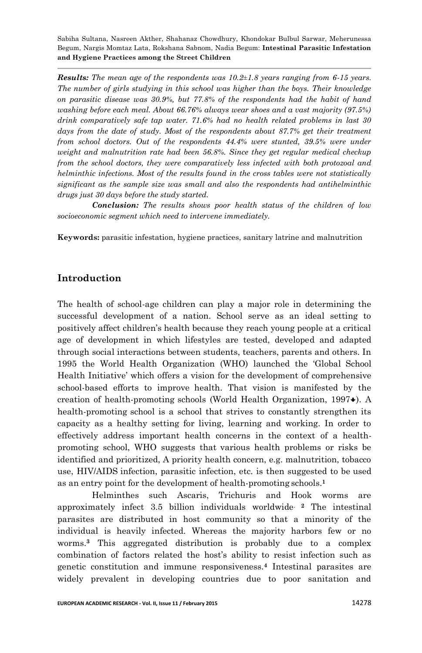*Results: The mean age of the respondents was 10.2±1.8 years ranging from 6-15 years. The number of girls studying in this school was higher than the boys. Their knowledge on parasitic disease was 30.9%, but 77.8% of the respondents had the habit of hand washing before each meal. About 66.76% always wear shoes and a vast majority (97.5%) drink comparatively safe tap water. 71.6% had no health related problems in last 30*  days from the date of study. Most of the respondents about 87.7% get their treatment *from school doctors. Out of the respondents 44.4% were stunted, 39.5% were under weight and malnutrition rate had been 56.8%. Since they get regular medical checkup from the school doctors, they were comparatively less infected with both protozoal and helminthic infections. Most of the results found in the cross tables were not statistically significant as the sample size was small and also the respondents had antihelminthic drugs just 30 days before the study started.*

*Conclusion: The results shows poor health status of the children of low socioeconomic segment which need to intervene immediately.*

**Keywords:** parasitic infestation, hygiene practices, sanitary latrine and malnutrition

## **Introduction**

The health of school-age children can play a major role in determining the successful development of a nation. School serve as an ideal setting to positively affect children's health because they reach young people at a critical age of development in which lifestyles are tested, developed and adapted through social interactions between students, teachers, parents and others. In 1995 the World Health Organization (WHO) launched the 'Global School Health Initiative' which offers a vision for the development of comprehensive school-based efforts to improve health. That vision is manifested by the creation of health-promoting schools (World Health Organization,  $1997\bullet$  $1997\bullet$  $1997\bullet$ ). A health-promoting school is a school that strives to constantly strengthen its capacity as a healthy setting for living, learning and working. In order to effectively address important health concerns in the context of a healthpromoting school, WHO suggests that various health problems or risks be identified and prioritized, A priority health concern, e.g. malnutrition, tobacco use, HIV/AIDS infection, parasitic infection, etc. is then suggested to be used as an entry point for the development of health-promoting schools.**<sup>1</sup>**

Helminthes such Ascaris, Trichuris and Hook worms are approximately infect 3.5 billion individuals worldwide. **<sup>2</sup>** The intestinal parasites are distributed in host community so that a minority of the individual is heavily infected. Whereas the majority harbors few or no worms.**<sup>3</sup>** This aggregated distribution is probably due to a complex combination of factors related the host's ability to resist infection such as genetic constitution and immune responsiveness.**<sup>4</sup>** Intestinal parasites are widely prevalent in developing countries due to poor sanitation and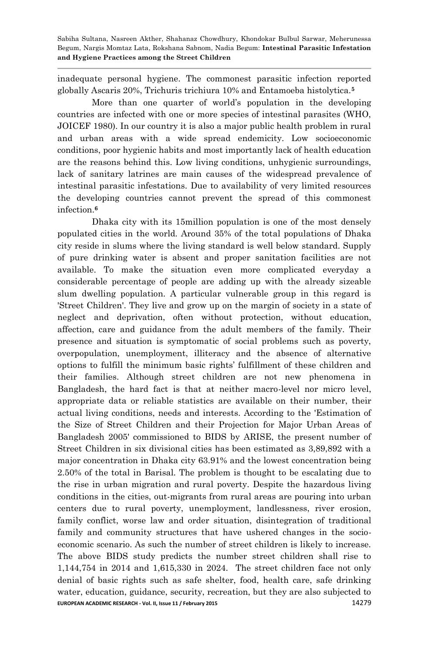inadequate personal hygiene. The commonest parasitic infection reported globally Ascaris 20%, Trichuris trichiura 10% and Entamoeba histolytica.**<sup>5</sup>** 

More than one quarter of world's population in the developing countries are infected with one or more species of intestinal parasites (WHO, JOICEF 1980). In our country it is also a major public health problem in rural and urban areas with a wide spread endemicity. Low socioeconomic conditions, poor hygienic habits and most importantly lack of health education are the reasons behind this. Low living conditions, unhygienic surroundings, lack of sanitary latrines are main causes of the widespread prevalence of intestinal parasitic infestations. Due to availability of very limited resources the developing countries cannot prevent the spread of this commonest infection.**<sup>6</sup>**

**EUROPEAN ACADEMIC RESEARCH - Vol. II, Issue 11 / February 2015** 14279 Dhaka city with its 15million population is one of the most densely populated cities in the world. Around 35% of the total populations of Dhaka city reside in slums where the living standard is well below standard. Supply of pure drinking water is absent and proper sanitation facilities are not available. To make the situation even more complicated everyday a considerable percentage of people are adding up with the already sizeable slum dwelling population. A particular vulnerable group in this regard is 'Street Children'. They live and grow up on the margin of society in a state of neglect and deprivation, often without protection, without education, affection, care and guidance from the adult members of the family. Their presence and situation is symptomatic of social problems such as poverty, overpopulation, unemployment, illiteracy and the absence of alternative options to fulfill the minimum basic rights' fulfillment of these children and their families. Although street children are not new phenomena in Bangladesh, the hard fact is that at neither macro-level nor micro level, appropriate data or reliable statistics are available on their number, their actual living conditions, needs and interests. According to the 'Estimation of the Size of Street Children and their Projection for Major Urban Areas of Bangladesh 2005' commissioned to BIDS by ARISE, the present number of Street Children in six divisional cities has been estimated as 3,89,892 with a major concentration in Dhaka city 63.91% and the lowest concentration being 2.50% of the total in Barisal. The problem is thought to be escalating due to the rise in urban migration and rural poverty. Despite the hazardous living conditions in the cities, out-migrants from rural areas are pouring into urban centers due to rural poverty, unemployment, landlessness, river erosion, family conflict, worse law and order situation, disintegration of traditional family and community structures that have ushered changes in the socioeconomic scenario. As such the number of street children is likely to increase. The above BIDS study predicts the number street children shall rise to 1,144,754 in 2014 and 1,615,330 in 2024. The street children face not only denial of basic rights such as safe shelter, food, health care, safe drinking water, education, guidance, security, recreation, but they are also subjected to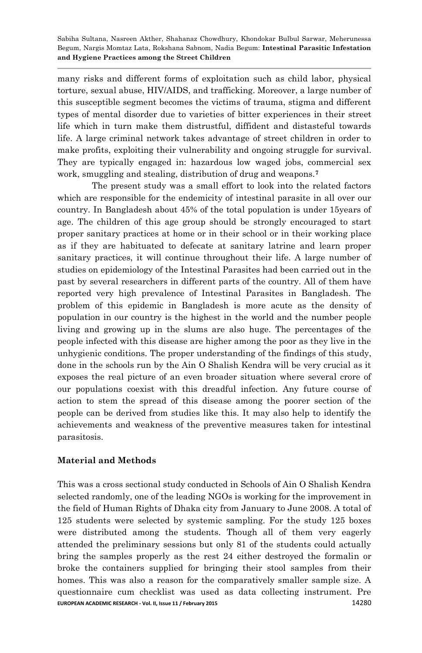many risks and different forms of exploitation such as child labor, physical torture, sexual abuse, HIV/AIDS, and trafficking. Moreover, a large number of this susceptible segment becomes the victims of trauma, stigma and different types of mental disorder due to varieties of bitter experiences in their street life which in turn make them distrustful, diffident and distasteful towards life. A large criminal network takes advantage of street children in order to make profits, exploiting their vulnerability and ongoing struggle for survival. They are typically engaged in: hazardous low waged jobs, commercial sex work, smuggling and stealing, distribution of drug and weapons.**<sup>7</sup>**

The present study was a small effort to look into the related factors which are responsible for the endemicity of intestinal parasite in all over our country. In Bangladesh about 45% of the total population is under 15years of age. The children of this age group should be strongly encouraged to start proper sanitary practices at home or in their school or in their working place as if they are habituated to defecate at sanitary latrine and learn proper sanitary practices, it will continue throughout their life. A large number of studies on epidemiology of the Intestinal Parasites had been carried out in the past by several researchers in different parts of the country. All of them have reported very high prevalence of Intestinal Parasites in Bangladesh. The problem of this epidemic in Bangladesh is more acute as the density of population in our country is the highest in the world and the number people living and growing up in the slums are also huge. The percentages of the people infected with this disease are higher among the poor as they live in the unhygienic conditions. The proper understanding of the findings of this study, done in the schools run by the Ain O Shalish Kendra will be very crucial as it exposes the real picture of an even broader situation where several crore of our populations coexist with this dreadful infection. Any future course of action to stem the spread of this disease among the poorer section of the people can be derived from studies like this. It may also help to identify the achievements and weakness of the preventive measures taken for intestinal parasitosis.

#### **Material and Methods**

**EUROPEAN ACADEMIC RESEARCH - Vol. II, Issue 11 / February 2015** 14280 This was a cross sectional study conducted in Schools of Ain O Shalish Kendra selected randomly, one of the leading NGOs is working for the improvement in the field of Human Rights of Dhaka city from January to June 2008. A total of 125 students were selected by systemic sampling. For the study 125 boxes were distributed among the students. Though all of them very eagerly attended the preliminary sessions but only 81 of the students could actually bring the samples properly as the rest 24 either destroyed the formalin or broke the containers supplied for bringing their stool samples from their homes. This was also a reason for the comparatively smaller sample size. A questionnaire cum checklist was used as data collecting instrument. Pre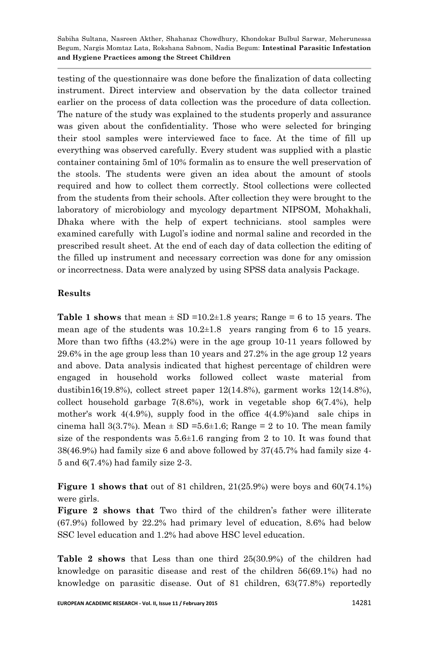testing of the questionnaire was done before the finalization of data collecting instrument. Direct interview and observation by the data collector trained earlier on the process of data collection was the procedure of data collection. The nature of the study was explained to the students properly and assurance was given about the confidentiality. Those who were selected for bringing their stool samples were interviewed face to face. At the time of fill up everything was observed carefully. Every student was supplied with a plastic container containing 5ml of 10% formalin as to ensure the well preservation of the stools. The students were given an idea about the amount of stools required and how to collect them correctly. Stool collections were collected from the students from their schools. After collection they were brought to the laboratory of microbiology and mycology department NIPSOM, Mohakhali, Dhaka where with the help of expert technicians. stool samples were examined carefully with Lugol's iodine and normal saline and recorded in the prescribed result sheet. At the end of each day of data collection the editing of the filled up instrument and necessary correction was done for any omission or incorrectness. Data were analyzed by using SPSS data analysis Package.

#### **Results**

**Table 1 shows** that mean  $\pm$  SD =10.2 $\pm$ 1.8 years; Range = 6 to 15 years. The mean age of the students was  $10.2 \pm 1.8$  years ranging from 6 to 15 years. More than two fifths  $(43.2%)$  were in the age group 10-11 years followed by 29.6% in the age group less than 10 years and  $27.2\%$  in the age group 12 years and above. Data analysis indicated that highest percentage of children were engaged in household works followed collect waste material from dustibin16(19.8%), collect street paper  $12(14.8\%)$ , garment works  $12(14.8\%)$ , collect household garbage  $7(8.6%)$ , work in vegetable shop  $6(7.4%)$ , help mother's work  $4(4.9\%)$ , supply food in the office  $4(4.9\%)$  and sale chips in cinema hall 3(3.7%). Mean  $\pm$  SD =5.6 $\pm$ 1.6; Range = 2 to 10. The mean family size of the respondents was  $5.6\pm1.6$  ranging from 2 to 10. It was found that 38(46.9%) had family size 6 and above followed by 37(45.7% had family size 4-5 and  $6(7.4\%)$  had family size 2-3.

**Figure 1 shows that** out of 81 children,  $21(25.9%)$  were boys and  $60(74.1%)$ were girls.

**Figure 2 shows that** Two third of the children's father were illiterate  $(67.9%)$  followed by  $22.2%$  had primary level of education,  $8.6%$  had below SSC level education and 1.2% had above HSC level education.

**Table 2 shows** that Less than one third 25(30.9%) of the children had knowledge on parasitic disease and rest of the children  $56(69.1\%)$  had no knowledge on parasitic disease. Out of 81 children, 63(77.8%) reportedly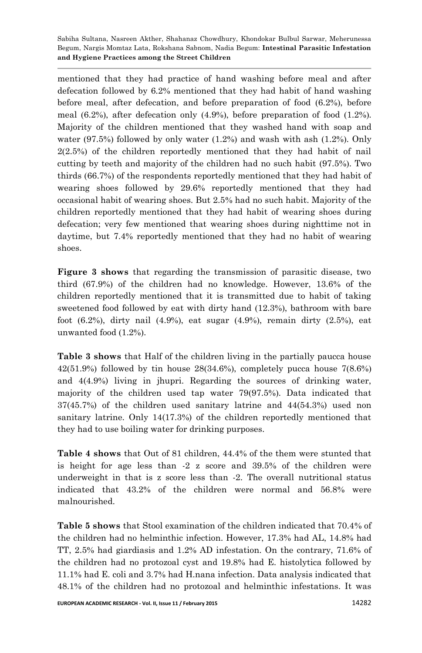mentioned that they had practice of hand washing before meal and after defecation followed by  $6.2\%$  mentioned that they had habit of hand washing before meal, after defecation, and before preparation of food  $(6.2\%)$ , before meal  $(6.2\%)$ , after defecation only  $(4.9\%)$ , before preparation of food  $(1.2\%)$ . Majority of the children mentioned that they washed hand with soap and water  $(97.5\%)$  followed by only water  $(1.2\%)$  and wash with ash  $(1.2\%)$ . Only  $2(2.5%)$  of the children reportedly mentioned that they had habit of nail cutting by teeth and majority of the children had no such habit (97.5%). Two thirds (66.7%) of the respondents reportedly mentioned that they had habit of wearing shoes followed by 29.6% reportedly mentioned that they had occasional habit of wearing shoes. But 2.5 had no such habit. Majority of the children reportedly mentioned that they had habit of wearing shoes during defecation; very few mentioned that wearing shoes during nighttime not in daytime, but 7.4% reportedly mentioned that they had no habit of wearing shoes.

**Figure 3 shows** that regarding the transmission of parasitic disease, two third  $(67.9%)$  of the children had no knowledge. However, 13.6% of the children reportedly mentioned that it is transmitted due to habit of taking sweetened food followed by eat with dirty hand  $(12.3\%)$ , bathroom with bare foot  $(6.2\%)$ , dirty nail  $(4.9\%)$ , eat sugar  $(4.9\%)$ , remain dirty  $(2.5\%)$ , eat unwanted food  $(1.2\%)$ .

**Table 3 shows** that Half of the children living in the partially paucca house  $42(51.9\%)$  followed by tin house  $28(34.6\%)$ , completely pucca house  $7(8.6\%)$ and  $4(4.9%)$  living in jhupri. Regarding the sources of drinking water, majority of the children used tap water  $79(97.5%)$ . Data indicated that  $37(45.7%)$  of the children used sanitary latrine and  $44(54.3%)$  used non sanitary latrine. Only  $14(17.3%)$  of the children reportedly mentioned that they had to use boiling water for drinking purposes.

**Table 4 shows** that Out of 81 children, 44.4% of the them were stunted that is height for age less than  $-2$  z score and  $39.5\%$  of the children were underweight in that is z score less than -2. The overall nutritional status indicated that  $43.2\%$  of the children were normal and  $56.8\%$  were malnourished.

**Table 5 shows** that Stool examination of the children indicated that 70.4% of the children had no helminthic infection. However, 17.3% had AL, 14.8% had TT,  $2.5\%$  had giardiasis and  $1.2\%$  AD infestation. On the contrary,  $71.6\%$  of the children had no protozoal cyst and 19.8% had E. histolytica followed by 11.1 had E. coli and 3.7 had H.nana infection. Data analysis indicated that 48.1 of the children had no protozoal and helminthic infestations. It was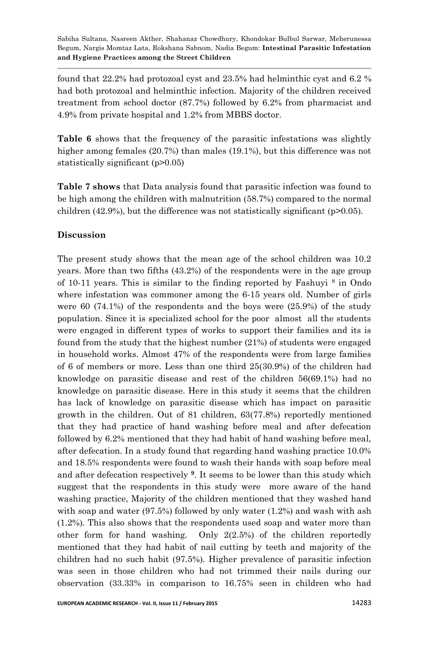found that  $22.2\%$  had protozoal cyst and  $23.5\%$  had helminthic cyst and 6.2 % had both protozoal and helminthic infection. Majority of the children received treatment from school doctor  $(87.7%)$  followed by  $6.2%$  from pharmacist and 4.9% from private hospital and 1.2% from MBBS doctor.

**Table 6** shows that the frequency of the parasitic infestations was slightly higher among females (20.7%) than males (19.1%), but this difference was not statistically significant (p>0.05)

**Table 7 shows** that Data analysis found that parasitic infection was found to be high among the children with malnutrition  $(58.7%)$  compared to the normal children  $(42.9\%)$ , but the difference was not statistically significant (p>0.05).

#### **Discussion**

The present study shows that the mean age of the school children was 10.2 years. More than two fifths (43.2%) of the respondents were in the age group of 10-11 years. This is similar to the finding reported by Fashuyi  $^8$  in Ondo where infestation was commoner among the 6-15 years old. Number of girls were  $60$  (74.1%) of the respondents and the boys were (25.9%) of the study population. Since it is specialized school for the poor almost all the students were engaged in different types of works to support their families and its is found from the study that the highest number (21%) of students were engaged in household works. Almost 47% of the respondents were from large families of 6 of members or more. Less than one third  $25(30.9%)$  of the children had knowledge on parasitic disease and rest of the children  $56(69.1\%)$  had no knowledge on parasitic disease. Here in this study it seems that the children has lack of knowledge on parasitic disease which has impact on parasitic growth in the children. Out of 81 children,  $63(77.8%)$  reportedly mentioned that they had practice of hand washing before meal and after defecation followed by 6.2% mentioned that they had habit of hand washing before meal, after defecation. In a study found that regarding hand washing practice 10.0% and 18.5% respondents were found to wash their hands with soap before meal and after defecation respectively **<sup>9</sup>**. It seems to be lower than this study which suggest that the respondents in this study were more aware of the hand washing practice, Majority of the children mentioned that they washed hand with soap and water  $(97.5\%)$  followed by only water  $(1.2\%)$  and wash with ash  $(1.2\%)$ . This also shows that the respondents used soap and water more than other form for hand washing. Only  $2(2.5\%)$  of the children reportedly mentioned that they had habit of nail cutting by teeth and majority of the children had no such habit  $(97.5\%)$ . Higher prevalence of parasitic infection was seen in those children who had not trimmed their nails during our observation (33.33% in comparison to 16.75% seen in children who had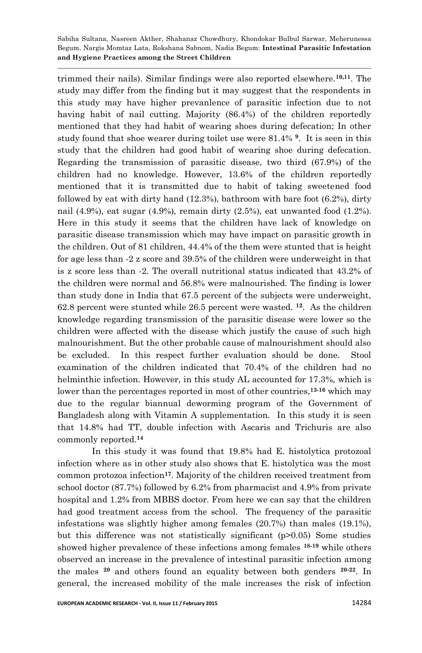trimmed their nails). Similar findings were also reported elsewhere.**10,11**. The study may differ from the finding but it may suggest that the respondents in this study may have higher prevanlence of parasitic infection due to not having habit of nail cutting. Majority (86.4%) of the children reportedly mentioned that they had habit of wearing shoes during defecation; In other study found that shoe wearer during toilet use were 81.4% **<sup>9</sup>**. It is seen in this study that the children had good habit of wearing shoe during defecation. Regarding the transmission of parasitic disease, two third  $(67.9%)$  of the children had no knowledge. However, 13.6% of the children reportedly mentioned that it is transmitted due to habit of taking sweetened food followed by eat with dirty hand  $(12.3\%)$ , bathroom with bare foot  $(6.2\%)$ , dirty nail  $(4.9\%)$ , eat sugar  $(4.9\%)$ , remain dirty  $(2.5\%)$ , eat unwanted food  $(1.2\%)$ . Here in this study it seems that the children have lack of knowledge on parasitic disease transmission which may have impact on parasitic growth in the children. Out of 81 children, 44.4 of the them were stunted that is height for age less than -2 z score and 39.5% of the children were underweight in that is z score less than  $-2$ . The overall nutritional status indicated that  $43.2\%$  of the children were normal and 56.8% were malnourished. The finding is lower than study done in India that 67.5 percent of the subjects were underweight, 62.8 percent were stunted while 26.5 percent were wasted. **<sup>12</sup>**. As the children knowledge regarding transmission of the parasitic disease were lower so the children were affected with the disease which justify the cause of such high malnourishment. But the other probable cause of malnourishment should also be excluded. In this respect further evaluation should be done. Stool examination of the children indicated that 70.4% of the children had no helminthic infection. However, in this study AL accounted for 17.3%, which is lower than the percentages reported in most of other countries,**13-16** which may due to the regular biannual deworming program of the Government of Bangladesh along with Vitamin A supplementation. In this study it is seen that 14.8% had TT, double infection with Ascaris and Trichuris are also commonly reported.**<sup>14</sup>**

In this study it was found that 19.8% had E. histolytica protozoal infection where as in other study also shows that E. histolytica was the most common protozoa infection**<sup>17</sup>**. Majority of the children received treatment from school doctor  $(87.7%)$  followed by  $6.2%$  from pharmacist and  $4.9%$  from private hospital and 1.2% from MBBS doctor. From here we can say that the children had good treatment access from the school. The frequency of the parasitic infestations was slightly higher among females (20.7%) than males (19.1%), but this difference was not statistically significant (p>0.05) Some studies showed higher prevalence of these infections among females **18-19** while others observed an increase in the prevalence of intestinal parasitic infection among the males **<sup>20</sup>** and others found an equality between both genders **20-22**. In general, the increased mobility of the male increases the risk of infection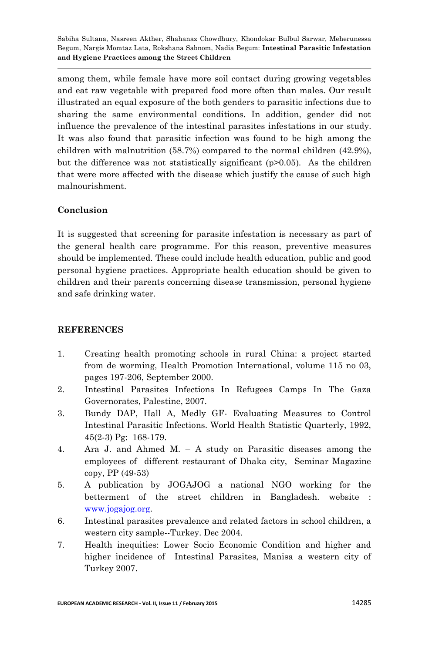among them, while female have more soil contact during growing vegetables and eat raw vegetable with prepared food more often than males. Our result illustrated an equal exposure of the both genders to parasitic infections due to sharing the same environmental conditions. In addition, gender did not influence the prevalence of the intestinal parasites infestations in our study. It was also found that parasitic infection was found to be high among the children with malnutrition  $(58.7%)$  compared to the normal children  $(42.9%).$ but the difference was not statistically significant  $(p>0.05)$ . As the children that were more affected with the disease which justify the cause of such high malnourishment.

### **Conclusion**

It is suggested that screening for parasite infestation is necessary as part of the general health care programme. For this reason, preventive measures should be implemented. These could include health education, public and good personal hygiene practices. Appropriate health education should be given to children and their parents concerning disease transmission, personal hygiene and safe drinking water.

#### **REFERENCES**

- 1. Creating health promoting schools in rural China: a project started from de worming, Health Promotion International, volume 115 no 03, pages 197-206, September 2000.
- 2. Intestinal Parasites Infections In Refugees Camps In The Gaza Governorates, Palestine, 2007.
- 3. Bundy DAP, Hall A, Medly GF- Evaluating Measures to Control Intestinal Parasitic Infections. World Health Statistic Quarterly, 1992, 45(2-3) Pg: 168-179.
- 4. Ara J. and Ahmed M. A study on Parasitic diseases among the employees of different restaurant of Dhaka city, Seminar Magazine copy, PP (49-53)
- 5. A publication by JOGAJOG a national NGO working for the betterment of the street children in Bangladesh. website : [www.jogajog.org.](http://www.jogajog.org/)
- 6. Intestinal parasites prevalence and related factors in school children, a western city sample--Turkey. Dec 2004.
- 7. Health inequities: Lower Socio Economic Condition and higher and higher incidence of Intestinal Parasites, Manisa a western city of Turkey 2007.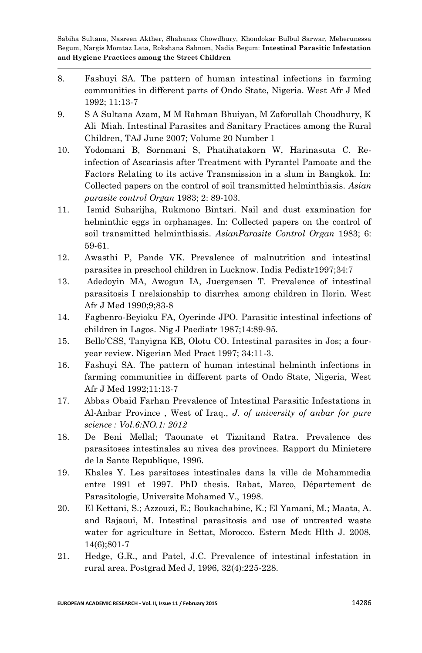- 8. Fashuyi SA. The pattern of human intestinal infections in farming communities in different parts of Ondo State, Nigeria. West Afr J Med 1992; 11:13-7
- 9. S A Sultana Azam, M M Rahman Bhuiyan, M Zaforullah Choudhury, K Ali Miah. Intestinal Parasites and Sanitary Practices among the Rural Children, TAJ June 2007; Volume 20 Number 1
- 10. Yodomani B, Sornmani S, Phatihatakorn W, Harinasuta C. Reinfection of Ascariasis after Treatment with Pyrantel Pamoate and the Factors Relating to its active Transmission in a slum in Bangkok. In: Collected papers on the control of soil transmitted helminthiasis. *Asian parasite control Organ* 1983; 2: 89-103.
- 11. Ismid Suharijha, Rukmono Bintari. Nail and dust examination for helminthic eggs in orphanages. In: Collected papers on the control of soil transmitted helminthiasis. *AsianParasite Control Organ* 1983; 6: 59-61.
- 12. Awasthi P, Pande VK. Prevalence of malnutrition and intestinal parasites in preschool children in Lucknow. India Pediatr1997;34:7
- 13. Adedoyin MA, Awogun IA, Juergensen T. Prevalence of intestinal parasitosis I nrelaionship to diarrhea among children in Ilorin. West Afr J Med 1990;9;83-8
- 14. Fagbenro-Beyioku FA, Oyerinde JPO. Parasitic intestinal infections of children in Lagos. Nig J Paediatr 1987;14:89-95.
- 15. Bello'CSS, Tanyigna KB, Olotu CO. Intestinal parasites in Jos; a fouryear review. Nigerian Med Pract 1997; 34:11-3.
- 16. Fashuyi SA. The pattern of human intestinal helminth infections in farming communities in different parts of Ondo State, Nigeria, West Afr J Med 1992;11:13-7
- 17. Abbas Obaid Farhan Prevalence of Intestinal Parasitic Infestations in Al-Anbar Province , West of Iraq., *J. of university of anbar for pure science : Vol.6:NO.1: 2012*
- 18. De Beni Mellal; Taounate et Tiznitand Ratra. Prevalence des parasitoses intestinales au nivea des provinces. Rapport du Minietere de la Sante Republique, 1996.
- 19. Khales Y. Les parsitoses intestinales dans la ville de Mohammedia entre 1991 et 1997. PhD thesis. Rabat, Marco, Département de Parasitologie, Universite Mohamed V., 1998.
- 20. El Kettani, S.; Azzouzi, E.; Boukachabine, K.; El Yamani, M.; Maata, A. and Rajaoui, M. Intestinal parasitosis and use of untreated waste water for agriculture in Settat, Morocco. Estern Medt Hlth J. 2008, 14(6);801-7
- 21. Hedge, G.R., and Patel, J.C. Prevalence of intestinal infestation in rural area. Postgrad Med J, 1996, 32(4):225-228.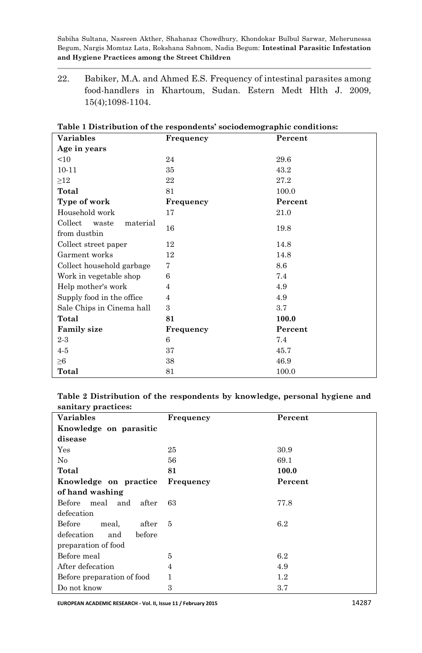22. Babiker, M.A. and Ahmed E.S. Frequency of intestinal parasites among food-handlers in Khartoum, Sudan. Estern Medt Hlth J. 2009, 15(4);1098-1104.

| <b>Variables</b>             | Frequency | Percent |
|------------------------------|-----------|---------|
| Age in years                 |           |         |
| <10                          | 24        | 29.6    |
| $10 - 11$                    | 35        | 43.2    |
| $\geq$ 12                    | 22        | 27.2    |
| Total                        | 81        | 100.0   |
| Type of work                 | Frequency | Percent |
| Household work               | 17        | 21.0    |
| Collect<br>material<br>waste | 16        |         |
| from dustbin                 |           | 19.8    |
| Collect street paper         | 12        | 14.8    |
| Garment works                | 12        | 14.8    |
| Collect household garbage    | 7         | 8.6     |
| Work in vegetable shop       | 6         | 7.4     |
| Help mother's work           | 4         | 4.9     |
| Supply food in the office    | 4         | 4.9     |
| Sale Chips in Cinema hall    | 3         | $3.7\,$ |
| Total                        | 81        | 100.0   |
| <b>Family size</b>           | Frequency | Percent |
| $2-3$                        | 6         | 7.4     |
| $4-5$                        | 37        | 45.7    |
| $\geq 6$                     | 38        | 46.9    |
| Total                        | 81        | 100.0   |

**Table 1 Distribution of the respondents' sociodemographic conditions:** 

**Table 2 Distribution of the respondents by knowledge, personal hygiene and sanitary practices:**

| <b>Variables</b>            | Frequency | Percent |
|-----------------------------|-----------|---------|
| Knowledge on parasitic      |           |         |
| disease                     |           |         |
| $\operatorname{Yes}$        | 25        | 30.9    |
| No                          | 56        | 69.1    |
| Total                       | 81        | 100.0   |
| Knowledge on practice       | Frequency | Percent |
| of hand washing             |           |         |
| Before meal and<br>after    | 63        | 77.8    |
| defecation                  |           |         |
| Before<br>meal,<br>after    | - 5       | 6.2     |
| defecation<br>before<br>and |           |         |
| preparation of food         |           |         |
| Before meal                 | 5         | 6.2     |
| After defecation            | 4         | 4.9     |
| Before preparation of food  | 1         | $1.2\,$ |
| Do not know                 | 3         | 3.7     |

**EUROPEAN ACADEMIC RESEARCH - Vol. II, Issue 11 / February 2015** 14287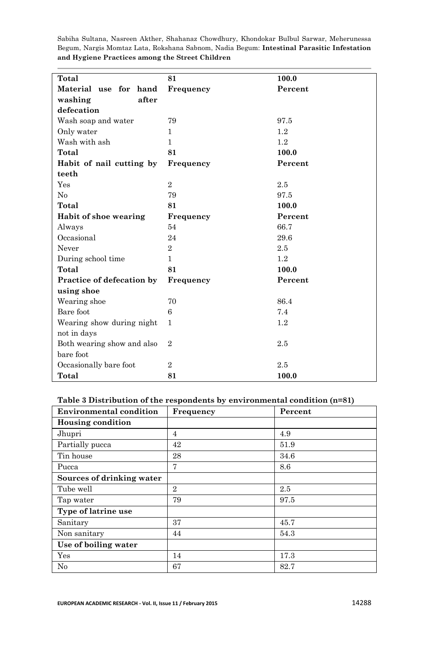| Total                      | 81             | 100.0   |
|----------------------------|----------------|---------|
| Material use for hand      | Frequency      | Percent |
| after<br>washing           |                |         |
| defecation                 |                |         |
| Wash soap and water        | 79             | 97.5    |
| Only water                 | 1              | 1.2     |
| Wash with ash              | $\mathbf{1}$   | 1.2     |
| Total                      | 81             | 100.0   |
| Habit of nail cutting by   | Frequency      | Percent |
| teeth                      |                |         |
| Yes                        | $\,2$          | 2.5     |
| No                         | 79             | 97.5    |
| Total                      | 81             | 100.0   |
| Habit of shoe wearing      | Frequency      | Percent |
| Always                     | 54             | 66.7    |
| Occasional                 | 24             | 29.6    |
| Never                      | $\overline{2}$ | 2.5     |
| During school time         | $\mathbf{1}$   | 1.2     |
| Total                      | 81             | 100.0   |
| Practice of defecation by  | Frequency      | Percent |
| using shoe                 |                |         |
| Wearing shoe               | 70             | 86.4    |
| Bare foot                  | 6              | 7.4     |
| Wearing show during night  | $\mathbf{1}$   | 1.2     |
| not in days                |                |         |
| Both wearing show and also | $\overline{2}$ | 2.5     |
| bare foot                  |                |         |
| Occasionally bare foot     | $\overline{2}$ | 2.5     |
| Total                      | 81             | 100.0   |

#### **Table 3 Distribution of the respondents by environmental condition n=81**

| <b>Environmental condition</b> | Frequency      | Percent |
|--------------------------------|----------------|---------|
| <b>Housing condition</b>       |                |         |
| Jhupri                         | $\overline{4}$ | 4.9     |
| Partially pucca                | 42             | 51.9    |
| Tin house                      | 28             | 34.6    |
| Pucca                          | 7              | 8.6     |
| Sources of drinking water      |                |         |
| Tube well                      | $\overline{2}$ | 2.5     |
| Tap water                      | 79             | 97.5    |
| Type of latrine use            |                |         |
| Sanitary                       | 37             | 45.7    |
| Non sanitary                   | 44             | 54.3    |
| Use of boiling water           |                |         |
| Yes                            | 14             | 17.3    |
| No                             | 67             | 82.7    |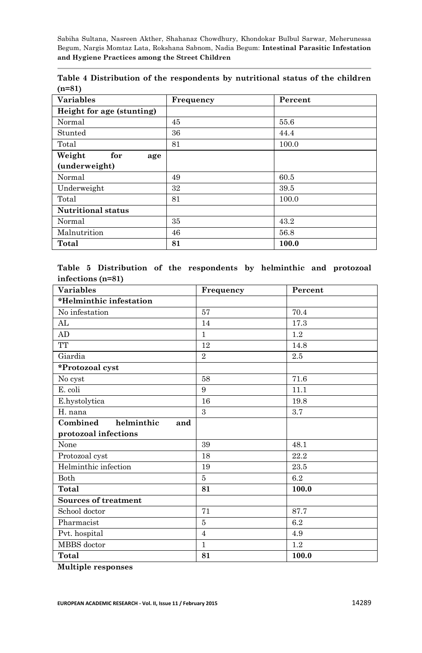| <b>Variables</b>          | Frequency | Percent |
|---------------------------|-----------|---------|
| Height for age (stunting) |           |         |
| Normal                    | 45        | 55.6    |
| Stunted                   | 36        | 44.4    |
| Total                     | 81        | 100.0   |
| Weight<br>for<br>age      |           |         |
| (underweight)             |           |         |
| Normal                    | 49        | 60.5    |
| Underweight               | 32        | 39.5    |
| Total                     | 81        | 100.0   |
| <b>Nutritional status</b> |           |         |
| Normal                    | 35        | 43.2    |
| Malnutrition              | 46        | 56.8    |
| Total                     | 81        | 100.0   |

**Table 4 Distribution of the respondents by nutritional status of the children n=81**

**Table 5 Distribution of the respondents by helminthic and protozoal infections n=81**

| <b>Variables</b>              | Frequency      | Percent |
|-------------------------------|----------------|---------|
| *Helminthic infestation       |                |         |
| No infestation                | 57             | 70.4    |
| AL                            | 14             | 17.3    |
| AD                            | $\mathbf{1}$   | 1.2     |
| TT                            | 12             | 14.8    |
| Giardia                       | $\mathbf{2}$   | 2.5     |
| *Protozoal cyst               |                |         |
| No cyst                       | 58             | 71.6    |
| E. coli                       | 9              | 11.1    |
| E.hystolytica                 | 16             | 19.8    |
| H. nana                       | $\mathbf{a}$   | 3.7     |
| Combined<br>helminthic<br>and |                |         |
| protozoal infections          |                |         |
| None                          | 39             | 48.1    |
| Protozoal cyst                | 18             | 22.2    |
| Helminthic infection          | 19             | 23.5    |
| <b>Both</b>                   | 5              | 6.2     |
| Total                         | 81             | 100.0   |
| Sources of treatment          |                |         |
| School doctor                 | 71             | 87.7    |
| Pharmacist                    | 5              | 6.2     |
| Pvt. hospital                 | $\overline{4}$ | 4.9     |
| MBBS doctor                   | $\mathbf{1}$   | 1.2     |
| Total                         | 81             | 100.0   |

**Multiple responses**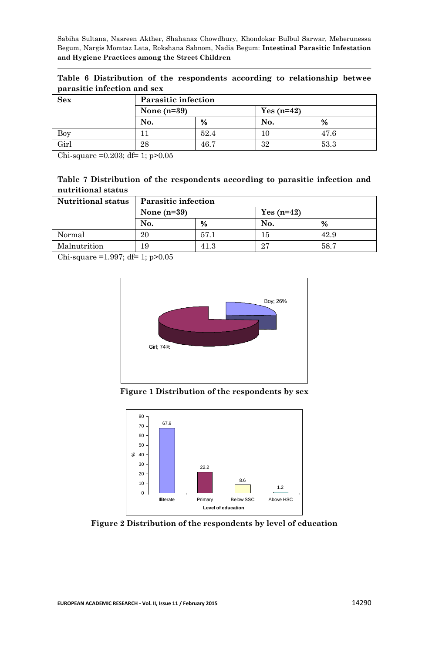|  |                             |  | Table 6 Distribution of the respondents according to relationship betwee |  |  |
|--|-----------------------------|--|--------------------------------------------------------------------------|--|--|
|  | parasitic infection and sex |  |                                                                          |  |  |

| Sex  | <b>Parasitic infection</b> |      |              |      |  |
|------|----------------------------|------|--------------|------|--|
|      | None $(n=39)$              |      | $Yes (n=42)$ |      |  |
|      | No.                        | %    | No.          | %    |  |
| Boy  |                            | 52.4 | 10           | 47.6 |  |
| Girl | 28                         | 46.7 | 32           | 53.3 |  |

Chi-square =0.203; df= 1; p>0.05

| Table 7 Distribution of the respondents according to parasitic infection and |  |  |  |  |
|------------------------------------------------------------------------------|--|--|--|--|
| nutritional status                                                           |  |  |  |  |

| <b>Nutritional status</b> | <b>Parasitic infection</b> |      |             |      |  |
|---------------------------|----------------------------|------|-------------|------|--|
|                           | None $(n=39)$              |      | $Yes(n=42)$ |      |  |
|                           | No.                        | %    | No.         | %    |  |
| Normal                    | 20                         | 57.1 | 15          | 42.9 |  |
| Malnutrition              | 19                         | 41.3 | 27          | 58.7 |  |

Chi-square =1.997; df= 1; p>0.05



**Figure 1 Distribution of the respondents by sex**



**Figure 2 Distribution of the respondents by level of education**